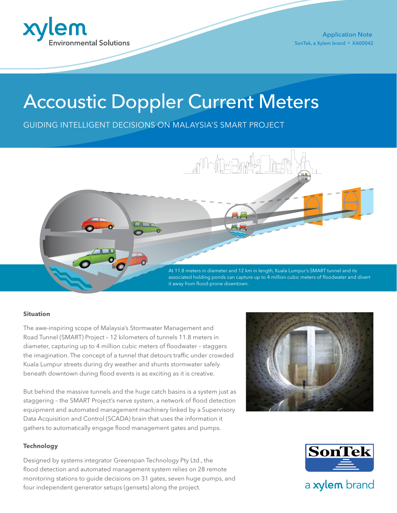

Application Note SonTek, a Xylem brand • XA00042

# Accoustic Doppler Current Meters

GUIDING INTELLIGENT DECISIONS ON MALAYSIA'S SMART PROJECT



#### **Situation**

The awe-inspiring scope of Malaysia's Stormwater Management and Road Tunnel (SMART) Project – 12 kilometers of tunnels 11.8 meters in diameter, capturing up to 4 million cubic meters of floodwater – staggers the imagination. The concept of a tunnel that detours traffic under crowded Kuala Lumpur streets during dry weather and shunts stormwater safely beneath downtown during flood events is as exciting as it is creative.

But behind the massive tunnels and the huge catch basins is a system just as staggering – the SMART Project's nerve system, a network of flood detection equipment and automated management machinery linked by a Supervisory Data Acquisition and Control (SCADA) brain that uses the information it gathers to automatically engage flood management gates and pumps.

#### **Technology**

Designed by systems integrator Greenspan Technology Pty Ltd., the flood detection and automated management system relies on 28 remote monitoring stations to guide decisions on 31 gates, seven huge pumps, and four independent generator setups (gensets) along the project.





## a xylem brand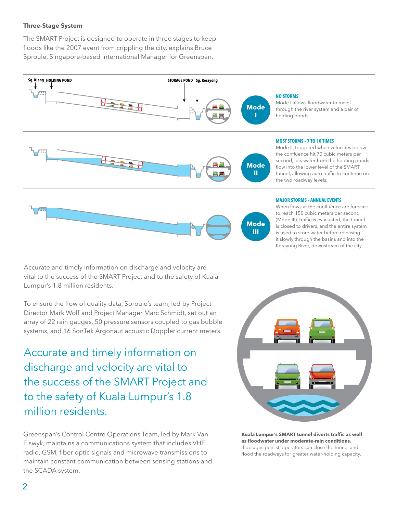### **Three-Stage System**

The SMART Project is designed to operate in three stages to keep floods like the 2007 event from crippling the city, explains Bruce Sproule, Singapore-based International Manager for Greenspan.



Accurate and timely information on discharge and velocity are vital to the success of the SMART Project and to the safety of Kuala Lumpur's 1.8 million residents.

To ensure the flow of quality data, Sproule's team, led by Project Director Mark Wolf and Project Manager Marc Schmidt, set out an array of 22 rain gauges, 50 pressure sensors coupled to gas bubble systems, and 16 SonTek Argonaut acoustic Doppler current meters.

Accurate and timely information on discharge and velocity are vital to the success of the SMART Project and to the safety of Kuala Lumpur's 1.8 million residents.

Greenspan's Control Centre Operations Team, led by Mark Van Elswyk, maintains a communications system that includes VHF radio, GSM, fiber optic signals and microwave transmissions to maintain constant communication between sensing stations and the SCADA system.

**Kuala Lumpur's SMART tunnel diverts traffic as well as floodwater under moderate-rain conditions.**  If deluges persist, operators can close the tunnel and flood the roadways for greater water-holding capacity.

When flows at the confluence are forecast to reach 150 cubic meters per second (Mode III), traffic is evacuated, the tunnel is closed to drivers, and the entire system is used to store water before releasing it slowly through the basins and into the Kerayong River, downstream of the city.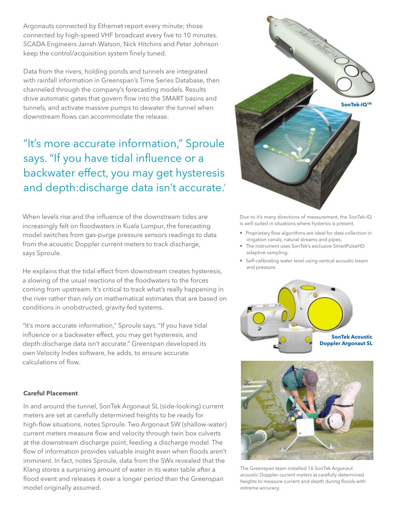Argonauts connected by Ethernet report every minute; those connected by high-speed VHF broadcast every five to 10 minutes. SCADA Engineers Jarrah Watson, Nick Hitchins and Peter Johnson keep the control/acquisition system finely tuned.

Data from the rivers, holding ponds and tunnels are integrated with rainfall information in Greenspan's Time Series Database, then channeled through the company's forecasting models. Results drive automatic gates that govern flow into the SMART basins and tunnels, and activate massive pumps to dewater the tunnel when downstream flows can accommodate the release.

"It's more accurate information," Sproule says. "If you have tidal influence or a backwater effect, you may get hysteresis, and depth:discharge data isn't accurate.'

When levels rise and the influence of the downstream tides are increasingly felt on floodwaters in Kuala Lumpur, the forecasting model switches from gas-purge pressure sensors readings to data from the acoustic Doppler current meters to track discharge, says Sproule.

He explains that the tidal effect from downstream creates hysteresis, a slowing of the usual reactions of the floodwaters to the forces coming from upstream. It's critical to track what's really happening in the river rather than rely on mathematical estimates that are based on conditions in unobstructed, gravity-fed systems.

"It's more accurate information," Sproule says. "If you have tidal influence or a backwater effect, you may get hysteresis, and depth:discharge data isn't accurate." Greenspan developed its own Velocity Index software, he adds, to ensure accurate calculations of flow.

### **Careful Placement**

In and around the tunnel, SonTek Argonaut SL (side-looking) current meters are set at carefully determined heights to be ready for high-flow situations, notes Sproule. Two Argonaut SW (shallow-water) current meters measure flow and velocity through twin box culverts at the downstream discharge point, feeding a discharge model. The flow of information provides valuable insight even when floods aren't imminent. In fact, notes Sproule, data from the SWs revealed that the Klang stores a surprising amount of water in its water table after a flood event and releases it over a longer period than the Greenspan model originally assumed.



Due to it's many directions of measurement, the SonTek-IQ is well suited in situations where hystersis is present.

- Proprietary flow algorithms are ideal for data collection in irrigation canals, natural streams and pipes.
- The instrument uses SonTek's exclusive SmartPulseHD adaptive sampling.
- Self-calibrating water level using vertical acoustic beam and pressure.





The Greenspan team installed 16 SonTek Argonaut acoustic Doppler current meters at carefully determined heights to measure current and depth during floods with extreme accuracy.